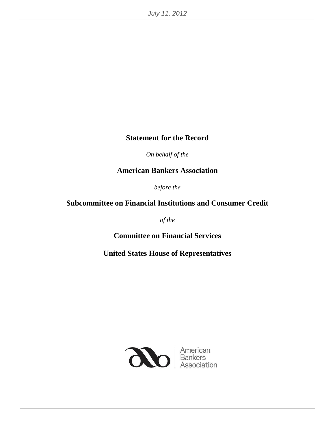#### **Statement for the Record**

*On behalf of the*

**American Bankers Association**

*before the* 

#### **Subcommittee on Financial Institutions and Consumer Credit**

*of the* 

**Committee on Financial Services**

**United States House of Representatives**

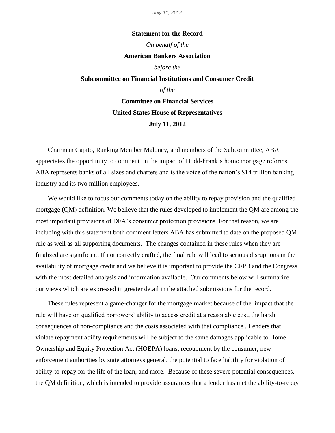# **Statement for the Record** *On behalf of the* **American Bankers Association** *before the* **Subcommittee on Financial Institutions and Consumer Credit** *of the* **Committee on Financial Services**

**United States House of Representatives July 11, 2012**

Chairman Capito, Ranking Member Maloney, and members of the Subcommittee, ABA appreciates the opportunity to comment on the impact of Dodd-Frank's home mortgage reforms. ABA represents banks of all sizes and charters and is the voice of the nation's \$14 trillion banking industry and its two million employees.

We would like to focus our comments today on the ability to repay provision and the qualified mortgage (QM) definition. We believe that the rules developed to implement the QM are among the most important provisions of DFA's consumer protection provisions. For that reason, we are including with this statement both comment letters ABA has submitted to date on the proposed QM rule as well as all supporting documents. The changes contained in these rules when they are finalized are significant. If not correctly crafted, the final rule will lead to serious disruptions in the availability of mortgage credit and we believe it is important to provide the CFPB and the Congress with the most detailed analysis and information available. Our comments below will summarize our views which are expressed in greater detail in the attached submissions for the record.

These rules represent a game-changer for the mortgage market because of the impact that the rule will have on qualified borrowers' ability to access credit at a reasonable cost, the harsh consequences of non-compliance and the costs associated with that compliance . Lenders that violate repayment ability requirements will be subject to the same damages applicable to Home Ownership and Equity Protection Act (HOEPA) loans, recoupment by the consumer, new enforcement authorities by state attorneys general, the potential to face liability for violation of ability-to-repay for the life of the loan, and more. Because of these severe potential consequences, the QM definition, which is intended to provide assurances that a lender has met the ability-to-repay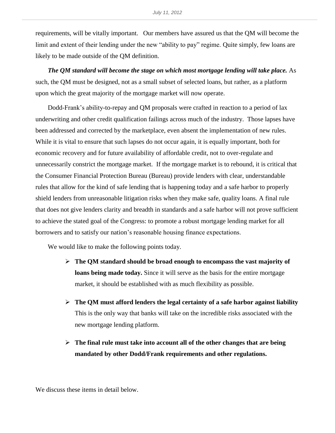requirements, will be vitally important. Our members have assured us that the QM will become the limit and extent of their lending under the new "ability to pay" regime. Quite simply, few loans are likely to be made outside of the QM definition.

*The QM standard will become the stage on which most mortgage lending will take place.* As such, the QM must be designed, not as a small subset of selected loans, but rather, as a platform upon which the great majority of the mortgage market will now operate.

Dodd-Frank's ability-to-repay and QM proposals were crafted in reaction to a period of lax underwriting and other credit qualification failings across much of the industry. Those lapses have been addressed and corrected by the marketplace, even absent the implementation of new rules. While it is vital to ensure that such lapses do not occur again, it is equally important, both for economic recovery and for future availability of affordable credit, not to over-regulate and unnecessarily constrict the mortgage market. If the mortgage market is to rebound, it is critical that the Consumer Financial Protection Bureau (Bureau) provide lenders with clear, understandable rules that allow for the kind of safe lending that is happening today and a safe harbor to properly shield lenders from unreasonable litigation risks when they make safe, quality loans. A final rule that does not give lenders clarity and breadth in standards and a safe harbor will not prove sufficient to achieve the stated goal of the Congress: to promote a robust mortgage lending market for all borrowers and to satisfy our nation's reasonable housing finance expectations.

We would like to make the following points today.

- **The QM standard should be broad enough to encompass the vast majority of loans being made today.** Since it will serve as the basis for the entire mortgage market, it should be established with as much flexibility as possible.
- $\triangleright$  The QM must afford lenders the legal certainty of a safe harbor against liability This is the only way that banks will take on the incredible risks associated with the new mortgage lending platform.
- **The final rule must take into account all of the other changes that are being mandated by other Dodd/Frank requirements and other regulations.**

We discuss these items in detail below.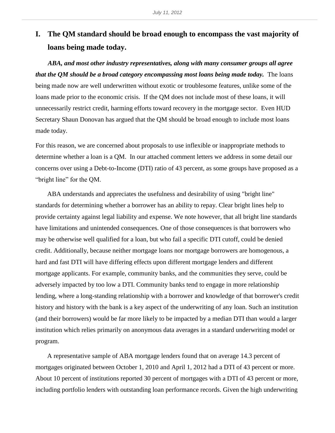## **I. The QM standard should be broad enough to encompass the vast majority of loans being made today.**

*ABA, and most other industry representatives, along with many consumer groups all agree that the QM should be a broad category encompassing most loans being made today.* The loans being made now are well underwritten without exotic or troublesome features, unlike some of the loans made prior to the economic crisis. If the QM does not include most of these loans, it will unnecessarily restrict credit, harming efforts toward recovery in the mortgage sector. Even HUD Secretary Shaun Donovan has argued that the QM should be broad enough to include most loans made today.

For this reason, we are concerned about proposals to use inflexible or inappropriate methods to determine whether a loan is a QM. In our attached comment letters we address in some detail our concerns over using a Debt-to-Income (DTI) ratio of 43 percent, as some groups have proposed as a "bright line" for the QM.

ABA understands and appreciates the usefulness and desirability of using "bright line" standards for determining whether a borrower has an ability to repay. Clear bright lines help to provide certainty against legal liability and expense. We note however, that all bright line standards have limitations and unintended consequences. One of those consequences is that borrowers who may be otherwise well qualified for a loan, but who fail a specific DTI cutoff, could be denied credit. Additionally, because neither mortgage loans nor mortgage borrowers are homogenous, a hard and fast DTI will have differing effects upon different mortgage lenders and different mortgage applicants. For example, community banks, and the communities they serve, could be adversely impacted by too low a DTI. Community banks tend to engage in more relationship lending, where a long-standing relationship with a borrower and knowledge of that borrower's credit history and history with the bank is a key aspect of the underwriting of any loan. Such an institution (and their borrowers) would be far more likely to be impacted by a median DTI than would a larger institution which relies primarily on anonymous data averages in a standard underwriting model or program.

A representative sample of ABA mortgage lenders found that on average 14.3 percent of mortgages originated between October 1, 2010 and April 1, 2012 had a DTI of 43 percent or more. About 10 percent of institutions reported 30 percent of mortgages with a DTI of 43 percent or more, including portfolio lenders with outstanding loan performance records. Given the high underwriting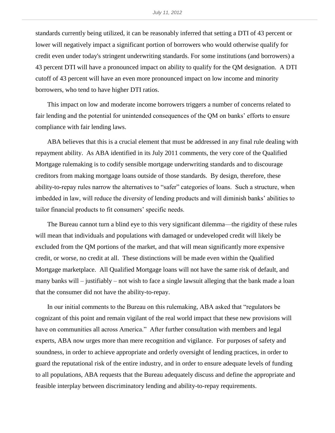standards currently being utilized, it can be reasonably inferred that setting a DTI of 43 percent or lower will negatively impact a significant portion of borrowers who would otherwise qualify for credit even under today's stringent underwriting standards. For some institutions (and borrowers) a 43 percent DTI will have a pronounced impact on ability to qualify for the QM designation. A DTI cutoff of 43 percent will have an even more pronounced impact on low income and minority borrowers, who tend to have higher DTI ratios.

This impact on low and moderate income borrowers triggers a number of concerns related to fair lending and the potential for unintended consequences of the QM on banks' efforts to ensure compliance with fair lending laws.

ABA believes that this is a crucial element that must be addressed in any final rule dealing with repayment ability. As ABA identified in its July 2011 comments, the very core of the Qualified Mortgage rulemaking is to codify sensible mortgage underwriting standards and to discourage creditors from making mortgage loans outside of those standards. By design, therefore, these ability-to-repay rules narrow the alternatives to "safer" categories of loans. Such a structure, when imbedded in law, will reduce the diversity of lending products and will diminish banks' abilities to tailor financial products to fit consumers' specific needs.

The Bureau cannot turn a blind eye to this very significant dilemma—the rigidity of these rules will mean that individuals and populations with damaged or undeveloped credit will likely be excluded from the QM portions of the market, and that will mean significantly more expensive credit, or worse, no credit at all. These distinctions will be made even within the Qualified Mortgage marketplace. All Qualified Mortgage loans will not have the same risk of default, and many banks will – justifiably – not wish to face a single lawsuit alleging that the bank made a loan that the consumer did not have the ability-to-repay.

In our initial comments to the Bureau on this rulemaking, ABA asked that "regulators be cognizant of this point and remain vigilant of the real world impact that these new provisions will have on communities all across America." After further consultation with members and legal experts, ABA now urges more than mere recognition and vigilance. For purposes of safety and soundness, in order to achieve appropriate and orderly oversight of lending practices, in order to guard the reputational risk of the entire industry, and in order to ensure adequate levels of funding to all populations, ABA requests that the Bureau adequately discuss and define the appropriate and feasible interplay between discriminatory lending and ability-to-repay requirements.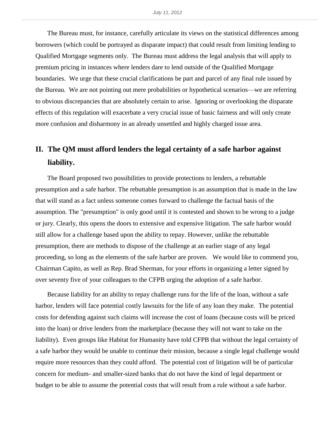The Bureau must, for instance, carefully articulate its views on the statistical differences among borrowers (which could be portrayed as disparate impact) that could result from limiting lending to Qualified Mortgage segments only. The Bureau must address the legal analysis that will apply to premium pricing in instances where lenders dare to lend outside of the Qualified Mortgage boundaries. We urge that these crucial clarifications be part and parcel of any final rule issued by the Bureau. We are not pointing out mere probabilities or hypothetical scenarios—we are referring to obvious discrepancies that are absolutely certain to arise. Ignoring or overlooking the disparate effects of this regulation will exacerbate a very crucial issue of basic fairness and will only create more confusion and disharmony in an already unsettled and highly charged issue area.

### **II. The QM must afford lenders the legal certainty of a safe harbor against liability.**

The Board proposed two possibilities to provide protections to lenders, a rebuttable presumption and a safe harbor. The rebuttable presumption is an assumption that is made in the law that will stand as a fact unless someone comes forward to challenge the factual basis of the assumption. The "presumption" is only good until it is contested and shown to be wrong to a judge or jury. Clearly, this opens the doors to extensive and expensive litigation. The safe harbor would still allow for a challenge based upon the ability to repay. However, unlike the rebuttable presumption, there are methods to dispose of the challenge at an earlier stage of any legal proceeding, so long as the elements of the safe harbor are proven. We would like to commend you, Chairman Capito, as well as Rep. Brad Sherman, for your efforts in organizing a letter signed by over seventy five of your colleagues to the CFPB urging the adoption of a safe harbor.

Because liability for an ability to repay challenge runs for the life of the loan, without a safe harbor, lenders will face potential costly lawsuits for the life of any loan they make. The potential costs for defending against such claims will increase the cost of loans (because costs will be priced into the loan) or drive lenders from the marketplace (because they will not want to take on the liability). Even groups like Habitat for Humanity have told CFPB that without the legal certainty of a safe harbor they would be unable to continue their mission, because a single legal challenge would require more resources than they could afford. The potential cost of litigation will be of particular concern for medium- and smaller-sized banks that do not have the kind of legal department or budget to be able to assume the potential costs that will result from a rule without a safe harbor.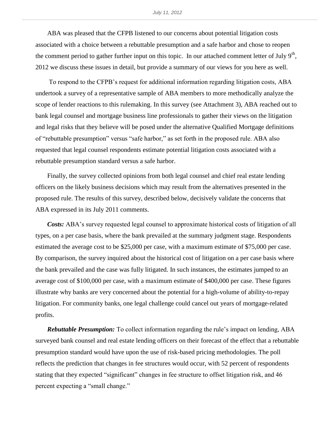ABA was pleased that the CFPB listened to our concerns about potential litigation costs associated with a choice between a rebuttable presumption and a safe harbor and chose to reopen the comment period to gather further input on this topic. In our attached comment letter of July  $9<sup>th</sup>$ , 2012 we discuss these issues in detail, but provide a summary of our views for you here as well.

To respond to the CFPB's request for additional information regarding litigation costs, ABA undertook a survey of a representative sample of ABA members to more methodically analyze the scope of lender reactions to this rulemaking. In this survey (see Attachment 3), ABA reached out to bank legal counsel and mortgage business line professionals to gather their views on the litigation and legal risks that they believe will be posed under the alternative Qualified Mortgage definitions of "rebuttable presumption" versus "safe harbor," as set forth in the proposed rule. ABA also requested that legal counsel respondents estimate potential litigation costs associated with a rebuttable presumption standard versus a safe harbor.

Finally, the survey collected opinions from both legal counsel and chief real estate lending officers on the likely business decisions which may result from the alternatives presented in the proposed rule. The results of this survey, described below, decisively validate the concerns that ABA expressed in its July 2011 comments.

*Costs:* ABA's survey requested legal counsel to approximate historical costs of litigation of all types, on a per case basis, where the bank prevailed at the summary judgment stage. Respondents estimated the average cost to be \$25,000 per case, with a maximum estimate of \$75,000 per case. By comparison, the survey inquired about the historical cost of litigation on a per case basis where the bank prevailed and the case was fully litigated. In such instances, the estimates jumped to an average cost of \$100,000 per case, with a maximum estimate of \$400,000 per case. These figures illustrate why banks are very concerned about the potential for a high-volume of ability-to-repay litigation. For community banks, one legal challenge could cancel out years of mortgage-related profits.

*Rebuttable Presumption:* To collect information regarding the rule's impact on lending, ABA surveyed bank counsel and real estate lending officers on their forecast of the effect that a rebuttable presumption standard would have upon the use of risk-based pricing methodologies. The poll reflects the prediction that changes in fee structures would occur, with 52 percent of respondents stating that they expected "significant" changes in fee structure to offset litigation risk, and 46 percent expecting a "small change."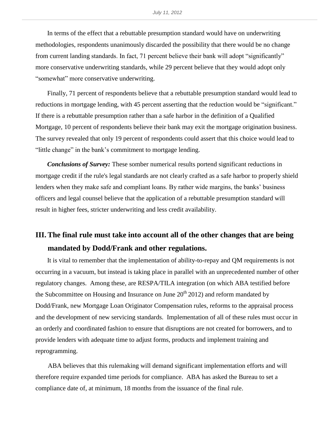In terms of the effect that a rebuttable presumption standard would have on underwriting methodologies, respondents unanimously discarded the possibility that there would be no change from current landing standards. In fact, 71 percent believe their bank will adopt "significantly" more conservative underwriting standards, while 29 percent believe that they would adopt only "somewhat" more conservative underwriting.

Finally, 71 percent of respondents believe that a rebuttable presumption standard would lead to reductions in mortgage lending, with 45 percent asserting that the reduction would be "significant." If there is a rebuttable presumption rather than a safe harbor in the definition of a Qualified Mortgage, 10 percent of respondents believe their bank may exit the mortgage origination business. The survey revealed that only 19 percent of respondents could assert that this choice would lead to "little change" in the bank's commitment to mortgage lending.

*Conclusions of Survey:* These somber numerical results portend significant reductions in mortgage credit if the rule's legal standards are not clearly crafted as a safe harbor to properly shield lenders when they make safe and compliant loans. By rather wide margins, the banks' business officers and legal counsel believe that the application of a rebuttable presumption standard will result in higher fees, stricter underwriting and less credit availability.

#### **III. The final rule must take into account all of the other changes that are being mandated by Dodd/Frank and other regulations.**

It is vital to remember that the implementation of ability-to-repay and QM requirements is not occurring in a vacuum, but instead is taking place in parallel with an unprecedented number of other regulatory changes. Among these, are RESPA/TILA integration (on which ABA testified before the Subcommittee on Housing and Insurance on June  $20<sup>th</sup> 2012$  and reform mandated by Dodd/Frank, new Mortgage Loan Originator Compensation rules, reforms to the appraisal process and the development of new servicing standards. Implementation of all of these rules must occur in an orderly and coordinated fashion to ensure that disruptions are not created for borrowers, and to provide lenders with adequate time to adjust forms, products and implement training and reprogramming.

ABA believes that this rulemaking will demand significant implementation efforts and will therefore require expanded time periods for compliance. ABA has asked the Bureau to set a compliance date of, at minimum, 18 months from the issuance of the final rule.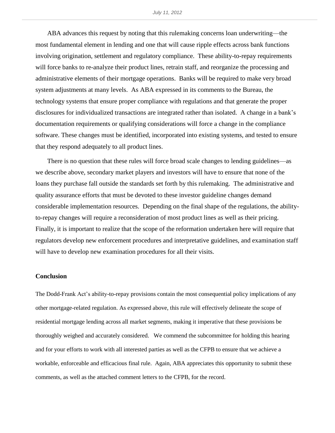ABA advances this request by noting that this rulemaking concerns loan underwriting—the most fundamental element in lending and one that will cause ripple effects across bank functions involving origination, settlement and regulatory compliance. These ability-to-repay requirements will force banks to re-analyze their product lines, retrain staff, and reorganize the processing and administrative elements of their mortgage operations. Banks will be required to make very broad system adjustments at many levels. As ABA expressed in its comments to the Bureau, the technology systems that ensure proper compliance with regulations and that generate the proper disclosures for individualized transactions are integrated rather than isolated. A change in a bank's documentation requirements or qualifying considerations will force a change in the compliance software. These changes must be identified, incorporated into existing systems, and tested to ensure that they respond adequately to all product lines.

There is no question that these rules will force broad scale changes to lending guidelines—as we describe above, secondary market players and investors will have to ensure that none of the loans they purchase fall outside the standards set forth by this rulemaking. The administrative and quality assurance efforts that must be devoted to these investor guideline changes demand considerable implementation resources. Depending on the final shape of the regulations, the abilityto-repay changes will require a reconsideration of most product lines as well as their pricing. Finally, it is important to realize that the scope of the reformation undertaken here will require that regulators develop new enforcement procedures and interpretative guidelines, and examination staff will have to develop new examination procedures for all their visits.

#### **Conclusion**

The Dodd-Frank Act's ability-to-repay provisions contain the most consequential policy implications of any other mortgage-related regulation. As expressed above, this rule will effectively delineate the scope of residential mortgage lending across all market segments, making it imperative that these provisions be thoroughly weighed and accurately considered. We commend the subcommittee for holding this hearing and for your efforts to work with all interested parties as well as the CFPB to ensure that we achieve a workable, enforceable and efficacious final rule. Again, ABA appreciates this opportunity to submit these comments, as well as the attached comment letters to the CFPB, for the record.